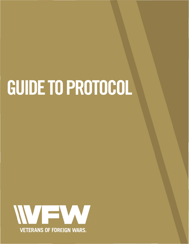# **GUIDE TO PROTOCOL**

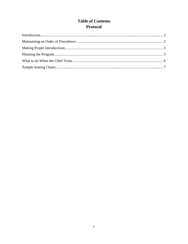# **Table of Contents Protocol**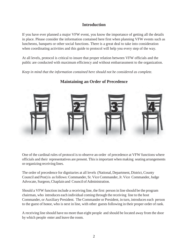### **Introduction**

If you have ever planned a major VFW event, you know the importance of getting all the details in place. Please consider the information contained here first when planning VFW events such as luncheons, banquets or other social functions. There is a great deal to take into consideration when coordinating activities and this guide to protocol will help you every step of the way.

At all levels, protocol is critical to insure that proper relation between VFW officials and the public are conducted with maximum efficiency and without embarrassment to the organization.

*Keep in mind that the information contained here should not be considered as complete.* 



## **Maintaining an Order of Precedence**

One of the cardinal rules of protocol is to observe an order of precedence at VFW functions where officials and their representatives are present. Thisis important when making seating arrangements or organizing receiving lines.

The order of precedence for dignitaries at all levels (National, Department, District, County Council and Post) is asfollows: Commander, Sr. Vice Commander,Jr. Vice Commander, Judge Advocate, Surgeon,Chaplain and Council of Administration.

Should a VFW function include a receiving line, the first person in line should be the program chairman, who introduces each individual coming through the receiving line to the host Commander, or Auxiliary President. The Commander or President, in turn, introduces each person to the guest of honor, who is next in line, with other guests following in their proper order of rank.

A receiving line should have no more than eight people and should be located away from the door by which people enter and leave the room.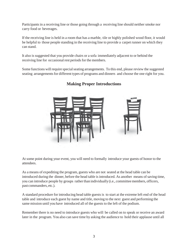Participants in a receiving line or those going through a receiving line should neither smoke nor carry food or beverages.

If the receiving line is held in a room that has a marble, tile or highly polished wood floor, it would be helpful to those people standing in the receiving line to provide a carpet runner on which they can stand.

It also is suggested that you provide chairs or a sofa immediately adjacent to or behind the receiving line for occasional rest periods for the members.

Some functions will require special seating arrangements. To this end, please review the suggested seating arrangements for different types of programs and dinners and choose the one right for you.



# **Making Proper Introductions**

At some point during your event, you will need to formally introduce your guests of honor to the attendees.

As a means of expediting the program, guests who are not seated at the head table can be introduced during the dinner, before the head table is introduced. As another means of saving time, you can introduce people by groups rather than individually (i.e., committee members, officers, past commanders, etc.).

A standard procedure for introducing head table guests is to start at the extreme left end of the head table and introduce each guest by name and title, moving to the next guest and performing the same mission until you have introduced all of the guests to the left of the podium.

Remember there is no need to introduce guests who will be called on to speak or receive an award later in the program. You also can save time by asking the audience to hold their applause until all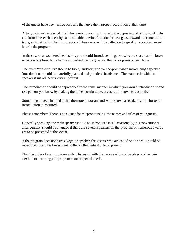of the guests have been introduced and then give them proper recognition at that time.

After you have introduced all of the guests to your left move to the opposite end of the head table and introduce each guest by name and title moving from the farthest guest toward the center of the table, again skipping the introduction of those who will be called on to speak or accept an award later in the program.

In the case of a two-tiered head table, you should introduce the guests who are seated at the lower or secondary head table before you introduce the guests at the top or primary head table.

The event "toastmaster" should be brief, laudatory and to- the-point when introducing a speaker. Introductions should be carefully planned and practiced in advance. The manner in which a speaker is introduced is very important.

The introduction should be approached in the same manner in which you would introduce a friend to a person you know by making them feel comfortable, at ease and known to each other.

Something to keep in mind is that the more important and well-known a speaker is, the shorter an introduction is required.

Please remember: There is no excuse for mispronouncing the names and titles of your guests.

Generally speaking, the main speaker should be introduced last.Occasionally, this conventional arrangement should be changed if there are several speakers on the program or numerous awards are to be presented at the event.

If the program does not have a keynote speaker, the guests who are called on to speak should be introduced from the lowest rank to that of the highest official present.

Plan the order of your program early. Discuss it with the people who are involved and remain flexible to changing the program to meet special needs.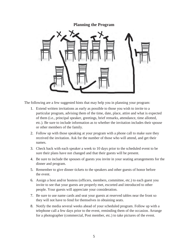**Planning the Program**



The following are a few suggested hints that may help you in planning your program:

- 1. Extend written invitations as early as possible to those you wish to invite to a particular program, advising them of the time, date, place, attire and what is expected of them (i.e., principal speaker, greetings, brief remarks, attendance, time allotted, etc.). Be sure to include information as to whether the invitation includes their spouse or other members of the family.
- 2. Follow up with those speaking at your program with a phone call to make sure they received the invitation. Ask for the number of those who will attend, and get their names.
- 3. Check back with each speaker a week to 10 days prior to the scheduled event to be sure their plans have not changed and that their guests will be present.
- 4. Be sure to include the spouses of guests you invite in your seating arrangements for the dinner and program.
- 5. Remember to give dinner tickets to the speakers and other guests of honor before the event.
- 6. Assign a host and/or hostess (officers, members, committee, etc.) to each guest you invite to see that your guests are properly met, escorted and introduced to other people. Your guests will appreciate your consideration.
- 7. Be sure to use name cards and seat your guests at reserved tables near the front so they will not have to fend for themselves in obtaining seats.
- 8. Notify the media several weeks ahead of your scheduled program. Follow up with a telephone call a few days prior to the event, reminding them of the occasion. Arrange for a photographer (commercial, Post member, etc.) to take pictures of the event.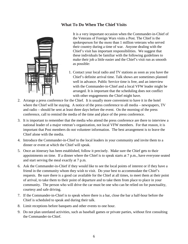#### **What To Do When The Chief Visits**



It is a very important occasion when the Commander-in-Chief of the Veterans of Foreign Wars visits a Post. The Chief is the spokesperson for the more than 1 million veterans who served their country during a time of war. Anyone dealing with the Chief's visit has important responsibilities. We suggest that these individuals be familiar with the following guidelines to make their job a little easier and the Chief's visit run as smooth as possible:

- 1. Contact your local radio and TV stations as soon as you have the Chief's definite arrival time. Talk shows are sometimes planned well in advance. Public Service time is free, and an interview with the Commander-in-Chief and a local VFW leader might be arranged. It is important that the scheduling does not conflict with other engagements the Chief might have.
- 2. Arrange a press conference for the Chief. It is usually more convenient to have it in the hotel where the Chief will be staying. A notice of the press conference to all media – newspapers, TV and radio – should be sent at least three days before the event. On the morning of the press conference, call to remind the media of the time and place of the press conference.
- 3. It is important to remember that the media who attend the press conference are there to interview a national leader of a major veteran's organization, not local VFW members. For that reason, it is important that Post members do not volunteer information. The best arrangement is to leave the Chief alone with the media.
- 4. Introduce the Commander-in-Chief to the local leaders in your community and invite them to a dinner or event at which the Chief will speak.
- 5. Once an itinerary has been established, follow it precisely. Make sure the Chief gets to their appointments on time. If a dinner where the Chief is to speak starts at 7 p.m., have everyone seated and start serving the meal exactly at 7 p.m.
- 6. Ask the Commander-in-Chief if they would like to see the local points of interest or if they have a friend in the community whom they wish to visit. Do your best to accommodate the Chief's requests. Be sure there is a good car available for the Chief at all times, to meet them at their point of arrival, to take them to their point of departure and to take them from place to place in your community. The person who will drive the car must be one who can be relied on for punctuality, courtesy and safe driving.
- 7. If the Commander-in-Chief is to speak where there is a bar, close the bar a half-hour before the Chief is scheduled to speak and during their talk.
- 8. Limit receptions before banquets and other events to one hour.
- 9. Do not plan unrelated activities, such as baseball games or private parties, without first consulting the Commander-in-Chief.